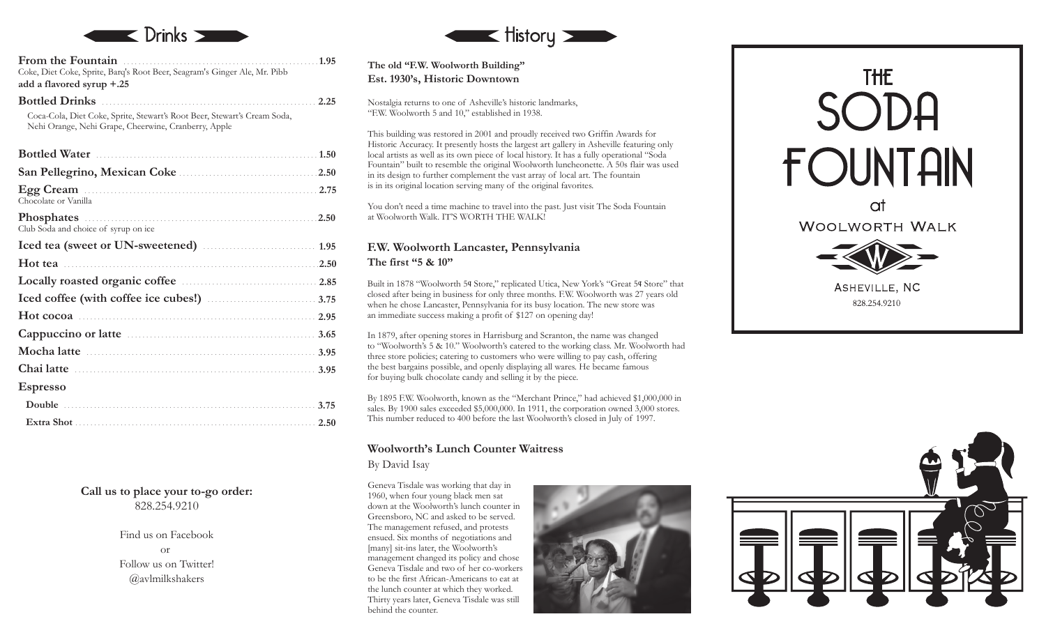

**From the Fountain** .................................................... **1.95** Coke, Diet Coke, Sprite, Barq's Root Beer, Seagram's Ginger Ale, Mr. Pibb **add a flavored syrup +.25**

**Bottled Drinks** ......................................................... Coca-Cola, Diet Coke, Sprite, Stewart's Root Beer, Stewart's Cream Soda, Nehi Orange, Nehi Grape, Cheerwine, Cranberry, Apple

| Egg Cream 2.75<br>Chocolate or Vanilla                                                            |
|---------------------------------------------------------------------------------------------------|
| Phosphates Manual Communication of the Phosphates<br>2.50<br>Club Soda and choice of syrup on ice |
|                                                                                                   |
|                                                                                                   |
|                                                                                                   |
|                                                                                                   |
|                                                                                                   |
| Hot cocoa $\ldots$ 2.95                                                                           |
|                                                                                                   |
|                                                                                                   |
|                                                                                                   |
| <b>Espresso</b>                                                                                   |
|                                                                                                   |

**Call us to place your to-go order:** 828.254.9210

> Find us on Facebook or Follow us on Twitter! @avlmilkshakers



**The old "F.W. Woolworth Building" Est. 1930's, Historic Downtown**

**2.25**

Nostalgia returns to one of Asheville's historic landmarks, "F.W. Woolworth 5 and 10," established in 1938.

This building was restored in 2001 and proudly received two Griffin Awards for Historic Accuracy. It presently hosts the largest art gallery in Asheville featuring only local artists as well as its own piece of local history. It has a fully operational "Soda Fountain" built to resemble the original Woolworth luncheonette. A 50s flair was used in its design to further complement the vast array of local art. The fountain is in its original location serving many of the original favorites.

You don't need a time machine to travel into the past. Just visit The Soda Fountain at Woolworth Walk. IT'S WORTH THE WALK!

#### **F.W. Woolworth Lancaster, Pennsylvania The first "5 & 10"**

Built in 1878 "Woolworth 5¢ Store," replicated Utica, New York's "Great 5¢ Store" that closed after being in business for only three months. F.W. Woolworth was 27 years old when he chose Lancaster, Pennsylvania for its busy location. The new store was an immediate success making a profit of \$127 on opening day!

In 1879, after opening stores in Harrisburg and Scranton, the name was changed to "Woolworth's 5 & 10." Woolworth's catered to the working class. Mr. Woolworth had three store policies; catering to customers who were willing to pay cash, offering the best bargains possible, and openly displaying all wares. He became famous for buying bulk chocolate candy and selling it by the piece.

By 1895 F.W. Woolworth, known as the "Merchant Prince," had achieved \$1,000,000 in sales. By 1900 sales exceeded \$5,000,000. In 1911, the corporation owned 3,000 stores. This number reduced to 400 before the last Woolworth's closed in July of 1997.

# **Woolworth's Lunch Counter Waitress**

By David Isay

Geneva Tisdale was working that day in 1960, when four young black men sat down at the Woolworth's lunch counter in Greensboro, NC and asked to be served. The management refused, and protests ensued. Six months of negotiations and [many] sit-ins later, the Woolworth's management changed its policy and chose Geneva Tisdale and two of her co-workers to be the first African-Americans to eat at the lunch counter at which they worked. Thirty years later, Geneva Tisdale was still behind the counter.





at WOOLWORTH WALK

> ASHEVILLE, NC 828.254.9210